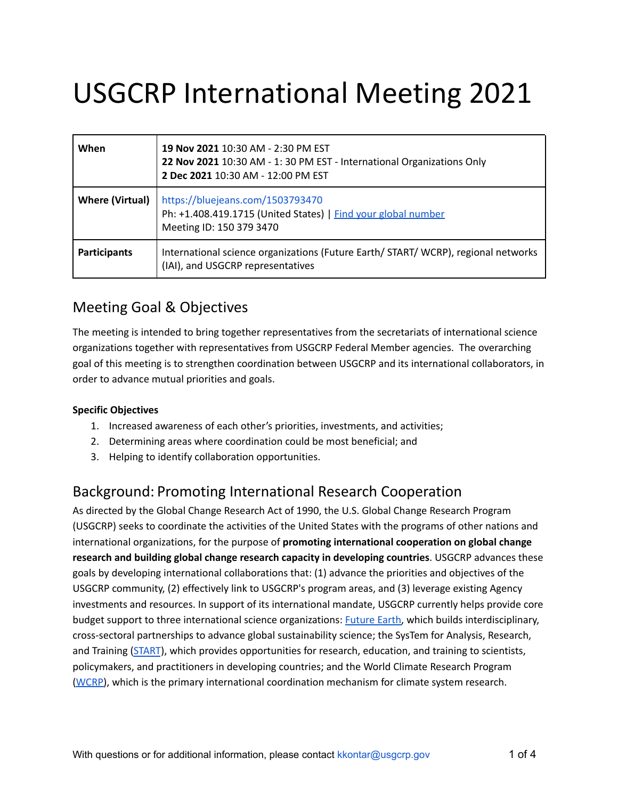# USGCRP International Meeting 2021

| When                   | 19 Nov 2021 10:30 AM - 2:30 PM EST<br>22 Nov 2021 10:30 AM - 1:30 PM EST - International Organizations Only<br>2 Dec 2021 10:30 AM - 12:00 PM EST |
|------------------------|---------------------------------------------------------------------------------------------------------------------------------------------------|
| <b>Where (Virtual)</b> | https://bluejeans.com/1503793470<br>Ph: +1.408.419.1715 (United States)   Find your global number<br>Meeting ID: 150 379 3470                     |
| <b>Participants</b>    | International science organizations (Future Earth/ START/ WCRP), regional networks<br>(IAI), and USGCRP representatives                           |

#### Meeting Goal & Objectives

The meeting is intended to bring together representatives from the secretariats of international science organizations together with representatives from USGCRP Federal Member agencies. The overarching goal of this meeting is to strengthen coordination between USGCRP and its international collaborators, in order to advance mutual priorities and goals.

#### **Specific Objectives**

- 1. Increased awareness of each other's priorities, investments, and activities;
- 2. Determining areas where coordination could be most beneficial; and
- 3. Helping to identify collaboration opportunities.

### Background: Promoting International Research Cooperation

As directed by the Global Change Research Act of 1990, the U.S. Global Change Research Program (USGCRP) seeks to coordinate the activities of the United States with the programs of other nations and international organizations, for the purpose of **promoting international cooperation on global change research and building global change research capacity in developing countries**. USGCRP advances these goals by developing international collaborations that: (1) advance the priorities and objectives of the USGCRP community, (2) effectively link to USGCRP's program areas, and (3) leverage existing Agency investments and resources. In support of its international mandate, USGCRP currently helps provide core budget support to three international science organizations: [Future](https://futureearth.org/) Earth, which builds interdisciplinary, cross-sectoral partnerships to advance global sustainability science; the SysTem for Analysis, Research, and Training [\(START](https://start.org/)), which provides opportunities for research, education, and training to scientists, policymakers, and practitioners in developing countries; and the World Climate Research Program [\(WCRP\)](https://www.wcrp-climate.org/), which is the primary international coordination mechanism for climate system research.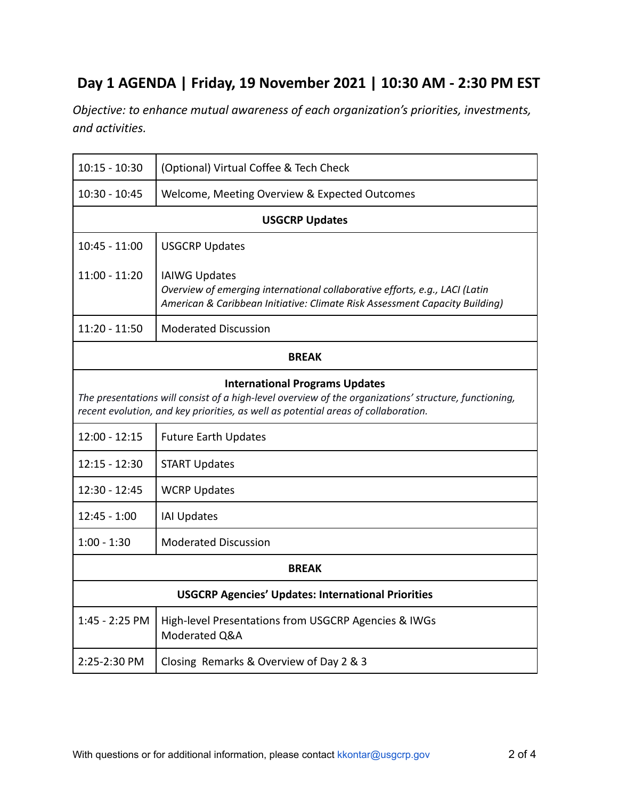## **Day 1 AGENDA | Friday, 19 November 2021 | 10:30 AM - 2:30 PM EST**

*Objective: to enhance mutual awareness of each organization's priorities, investments, and activities.*

| $10:15 - 10:30$                                                                                                                                                                                                                      | (Optional) Virtual Coffee & Tech Check                                                                                                                                             |  |
|--------------------------------------------------------------------------------------------------------------------------------------------------------------------------------------------------------------------------------------|------------------------------------------------------------------------------------------------------------------------------------------------------------------------------------|--|
| $10:30 - 10:45$                                                                                                                                                                                                                      | Welcome, Meeting Overview & Expected Outcomes                                                                                                                                      |  |
| <b>USGCRP Updates</b>                                                                                                                                                                                                                |                                                                                                                                                                                    |  |
| $10:45 - 11:00$                                                                                                                                                                                                                      | <b>USGCRP Updates</b>                                                                                                                                                              |  |
| $11:00 - 11:20$                                                                                                                                                                                                                      | <b>IAIWG Updates</b><br>Overview of emerging international collaborative efforts, e.g., LACI (Latin<br>American & Caribbean Initiative: Climate Risk Assessment Capacity Building) |  |
| 11:20 - 11:50                                                                                                                                                                                                                        | <b>Moderated Discussion</b>                                                                                                                                                        |  |
| <b>BREAK</b>                                                                                                                                                                                                                         |                                                                                                                                                                                    |  |
| <b>International Programs Updates</b><br>The presentations will consist of a high-level overview of the organizations' structure, functioning,<br>recent evolution, and key priorities, as well as potential areas of collaboration. |                                                                                                                                                                                    |  |
| $12:00 - 12:15$                                                                                                                                                                                                                      | <b>Future Earth Updates</b>                                                                                                                                                        |  |
| $12:15 - 12:30$                                                                                                                                                                                                                      | <b>START Updates</b>                                                                                                                                                               |  |
| 12:30 - 12:45                                                                                                                                                                                                                        | <b>WCRP Updates</b>                                                                                                                                                                |  |
| $12:45 - 1:00$                                                                                                                                                                                                                       | <b>IAI Updates</b>                                                                                                                                                                 |  |
| $1:00 - 1:30$                                                                                                                                                                                                                        | <b>Moderated Discussion</b>                                                                                                                                                        |  |
| <b>BREAK</b>                                                                                                                                                                                                                         |                                                                                                                                                                                    |  |
| <b>USGCRP Agencies' Updates: International Priorities</b>                                                                                                                                                                            |                                                                                                                                                                                    |  |
| 1:45 - 2:25 PM                                                                                                                                                                                                                       | High-level Presentations from USGCRP Agencies & IWGs<br>Moderated Q&A                                                                                                              |  |
| 2:25-2:30 PM                                                                                                                                                                                                                         | Closing Remarks & Overview of Day 2 & 3                                                                                                                                            |  |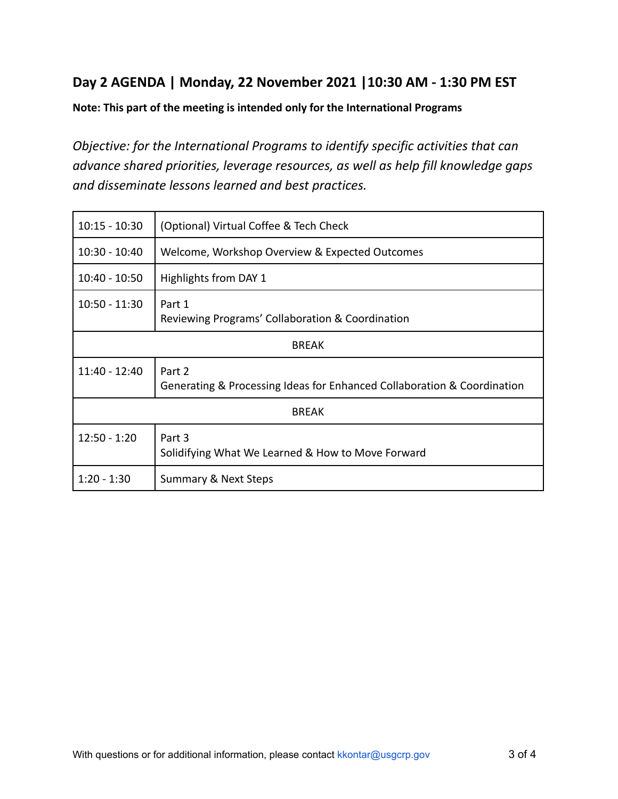#### **Day 2 AGENDA | Monday, 22 November 2021 |10:30 AM - 1:30 PM EST**

**Note: This part of the meeting is intended only for the International Programs**

*Objective: for the International Programs to identify specific activities that can advance shared priorities, leverage resources, as well as help fill knowledge gaps and disseminate lessons learned and best practices.*

| $10:15 - 10:30$ | (Optional) Virtual Coffee & Tech Check                                            |  |
|-----------------|-----------------------------------------------------------------------------------|--|
| $10:30 - 10:40$ | Welcome, Workshop Overview & Expected Outcomes                                    |  |
| $10:40 - 10:50$ | Highlights from DAY 1                                                             |  |
| $10:50 - 11:30$ | Part 1<br>Reviewing Programs' Collaboration & Coordination                        |  |
| <b>BREAK</b>    |                                                                                   |  |
| 11:40 - 12:40   | Part 2<br>Generating & Processing Ideas for Enhanced Collaboration & Coordination |  |
| <b>BREAK</b>    |                                                                                   |  |
| $12:50 - 1:20$  | Part 3<br>Solidifying What We Learned & How to Move Forward                       |  |
| $1:20 - 1:30$   | <b>Summary &amp; Next Steps</b>                                                   |  |